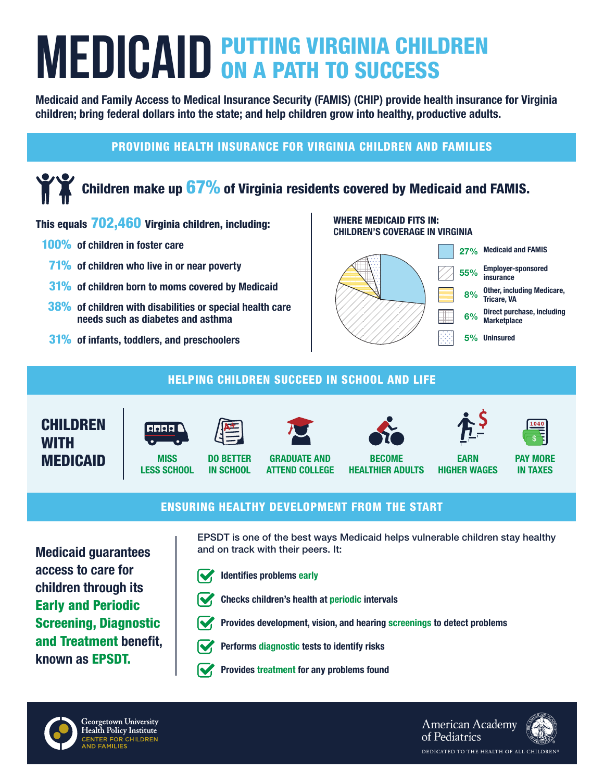# **MEDICAID PUTTING VIRGINIA CHILDREN MEDICAID ON A PATH TO SUCCESS**

Medicaid and Family Access to Medical Insurance Security (FAMIS) (CHIP) provide health insurance for Virginia children; bring federal dollars into the state; and help children grow into healthy, productive adults.

### PROVIDING HEALTH INSURANCE FOR VIRGINIA CHILDREN AND FAMILIES

# Children make up  $67\%$  of Virginia residents covered by Medicaid and FAMIS.

#### This equals 702,460 Virginia children, including:

- 100% of children in foster care
	- 71% of children who live in or near poverty
	- 31% of children born to moms covered by Medicaid
- 38% of children with disabilities or special health care needs such as diabetes and asthma
- 31% of infants, toddlers, and preschoolers

#### WHERE MEDICAID FITS IN: CHILDREN'S COVERAGE IN VIRGINIA



#### HELPING CHILDREN SUCCEED IN SCHOOL AND LIFE





**MISS** LESS SCHOOL



IN SCHOOL







EARN HIGHER WAGES



PAY MORE IN TAXES

#### ENSURING HEALTHY DEVELOPMENT FROM THE START

Medicaid guarantees access to care for children through its Early and Periodic Screening, Diagnostic and Treatment benefit, known as EPSDT.

EPSDT is one of the best ways Medicaid helps vulnerable children stay healthy and on track with their peers. It:



Identifies problems early





Provides development, vision, and hearing screenings to detect problems



- Performs diagnostic tests to identify risks
- Provides treatment for any problems found



**American Academy** of Pediatrics DEDICATED TO THE HEALTH OF ALL CHILDREN®